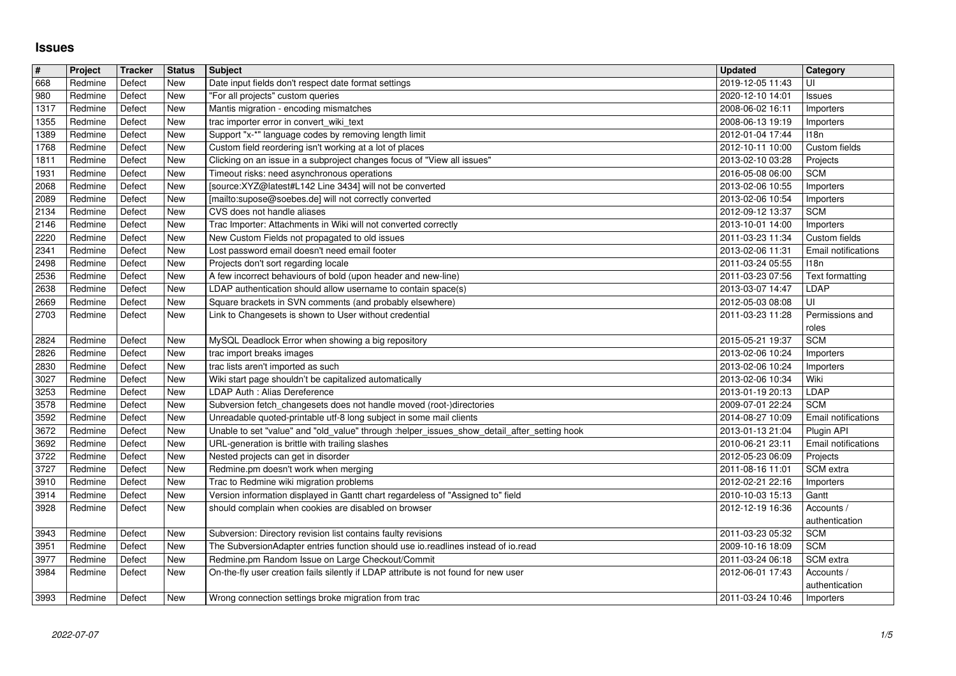## **Issues**

| $\sqrt{\frac{4}{15}}$ | Project            | <b>Tracker</b>   | <b>Status</b>            | <b>Subject</b>                                                                                                                                     | <b>Updated</b>                       | Category                        |
|-----------------------|--------------------|------------------|--------------------------|----------------------------------------------------------------------------------------------------------------------------------------------------|--------------------------------------|---------------------------------|
| 668<br>980            | Redmine<br>Redmine | Defect<br>Defect | New<br>New               | Date input fields don't respect date format settings<br>"For all projects" custom queries                                                          | 2019-12-05 11:43<br>2020-12-10 14:01 | UI<br><b>Issues</b>             |
| 1317                  | Redmine            | Defect           | New                      | Mantis migration - encoding mismatches                                                                                                             | 2008-06-02 16:11                     | Importers                       |
| 1355<br>1389          | Redmine<br>Redmine | Defect<br>Defect | <b>New</b><br><b>New</b> | trac importer error in convert_wiki_text<br>Support "x-*" language codes by removing length limit                                                  | 2008-06-13 19:19<br>2012-01-04 17:44 | Importers<br><b>I18n</b>        |
| 1768                  | Redmine            | Defect           | New                      | Custom field reordering isn't working at a lot of places                                                                                           | 2012-10-11 10:00                     | Custom fields                   |
| 1811                  | Redmine            | Defect           | New                      | Clicking on an issue in a subproject changes focus of "View all issues"                                                                            | 2013-02-10 03:28                     | Projects                        |
| 1931<br>2068          | Redmine<br>Redmine | Defect<br>Defect | New<br>New               | Timeout risks: need asynchronous operations<br>[source:XYZ@latest#L142 Line 3434] will not be converted                                            | 2016-05-08 06:00<br>2013-02-06 10:55 | <b>SCM</b><br>Importers         |
| 2089                  | Redmine            | Defect           | New                      | [mailto:supose@soebes.de] will not correctly converted                                                                                             | 2013-02-06 10:54                     | Importers                       |
| $\sqrt{2134}$<br>2146 | Redmine<br>Redmine | Defect<br>Defect | New<br>New               | CVS does not handle aliases<br>Trac Importer: Attachments in Wiki will not converted correctly                                                     | 2012-09-12 13:37<br>2013-10-01 14:00 | <b>SCM</b><br>Importers         |
| 2220                  | Redmine            | Defect           | <b>New</b>               | New Custom Fields not propagated to old issues                                                                                                     | 2011-03-23 11:34                     | Custom fields                   |
| 2341                  | Redmine            | Defect           | New                      | Lost password email doesn't need email footer                                                                                                      | 2013-02-06 11:31                     | Email notifications             |
| 2498<br>2536          | Redmine<br>Redmine | Defect<br>Defect | New<br>New               | Projects don't sort regarding locale<br>A few incorrect behaviours of bold (upon header and new-line)                                              | 2011-03-24 05:55<br>2011-03-23 07:56 | 118n<br>Text formatting         |
| 2638                  | Redmine            | Defect           | New                      | LDAP authentication should allow username to contain space(s)                                                                                      | 2013-03-07 14:47                     | LDAP                            |
| 2669<br>2703          | Redmine<br>Redmine | Defect<br>Defect | New<br>New               | Square brackets in SVN comments (and probably elsewhere)<br>Link to Changesets is shown to User without credential                                 | 2012-05-03 08:08<br>2011-03-23 11:28 | UI<br>Permissions and           |
|                       |                    |                  |                          |                                                                                                                                                    |                                      | roles                           |
| 2824                  | Redmine            | Defect           | New                      | MySQL Deadlock Error when showing a big repository                                                                                                 | 2015-05-21 19:37                     | <b>SCM</b>                      |
| 2826<br>2830          | Redmine<br>Redmine | Defect<br>Defect | New<br><b>New</b>        | trac import breaks images<br>trac lists aren't imported as such                                                                                    | 2013-02-06 10:24<br>2013-02-06 10:24 | Importers<br>Importers          |
| 3027                  | Redmine            | Defect           | New                      | Wiki start page shouldn't be capitalized automatically                                                                                             | 2013-02-06 10:34                     | Wiki                            |
| 3253<br>3578          | Redmine<br>Redmine | Defect<br>Defect | New<br>New               | LDAP Auth : Alias Dereference<br>Subversion fetch_changesets does not handle moved (root-)directories                                              | 2013-01-19 20:13<br>2009-07-01 22:24 | LDAP<br><b>SCM</b>              |
| 3592                  | Redmine            | Defect           | New                      | Unreadable quoted-printable utf-8 long subject in some mail clients                                                                                | 2014-08-27 10:09                     | Email notifications             |
| 3672                  | Redmine            | Defect           | New                      | Unable to set "value" and "old_value" through :helper_issues_show_detail_after_setting hook                                                        | 2013-01-13 21:04                     | Plugin API                      |
| 3692<br>3722          | Redmine<br>Redmine | Defect<br>Defect | New<br>New               | URL-generation is brittle with trailing slashes<br>Nested projects can get in disorder                                                             | 2010-06-21 23:11<br>2012-05-23 06:09 | Email notifications<br>Projects |
| 3727                  | Redmine            | Defect           | New                      | Redmine.pm doesn't work when merging                                                                                                               | 2011-08-16 11:01                     | SCM extra                       |
| 3910                  | Redmine            | Defect           | New<br>New               | Trac to Redmine wiki migration problems                                                                                                            | 2012-02-21 22:16                     | Importers                       |
| 3914<br>3928          | Redmine<br>Redmine | Defect<br>Defect | New                      | Version information displayed in Gantt chart regardeless of "Assigned to" field<br>should complain when cookies are disabled on browser            | 2010-10-03 15:13<br>2012-12-19 16:36 | Gantt<br>Accounts /             |
|                       |                    |                  |                          |                                                                                                                                                    |                                      | authentication                  |
| 3943<br>3951          | Redmine<br>Redmine | Defect<br>Defect | New<br><b>New</b>        | Subversion: Directory revision list contains faulty revisions<br>The SubversionAdapter entries function should use io.readlines instead of io.read | 2011-03-23 05:32<br>2009-10-16 18:09 | <b>SCM</b><br><b>SCM</b>        |
| 3977                  | Redmine            | Defect           | <b>New</b>               | Redmine.pm Random Issue on Large Checkout/Commit                                                                                                   | 2011-03-24 06:18                     | SCM extra                       |
| 3984                  | Redmine            | Defect           | New                      | On-the-fly user creation fails silently if LDAP attribute is not found for new user                                                                | 2012-06-01 17:43                     | Accounts /                      |
| 3993                  | Redmine            | Defect           | New                      | Wrong connection settings broke migration from trac                                                                                                | 2011-03-24 10:46                     | authentication<br>Importers     |
|                       |                    |                  |                          |                                                                                                                                                    |                                      |                                 |
|                       |                    |                  |                          |                                                                                                                                                    |                                      |                                 |
|                       |                    |                  |                          |                                                                                                                                                    |                                      |                                 |
|                       |                    |                  |                          |                                                                                                                                                    |                                      |                                 |
|                       |                    |                  |                          |                                                                                                                                                    |                                      |                                 |
|                       |                    |                  |                          |                                                                                                                                                    |                                      |                                 |
|                       |                    |                  |                          |                                                                                                                                                    |                                      |                                 |
|                       |                    |                  |                          |                                                                                                                                                    |                                      |                                 |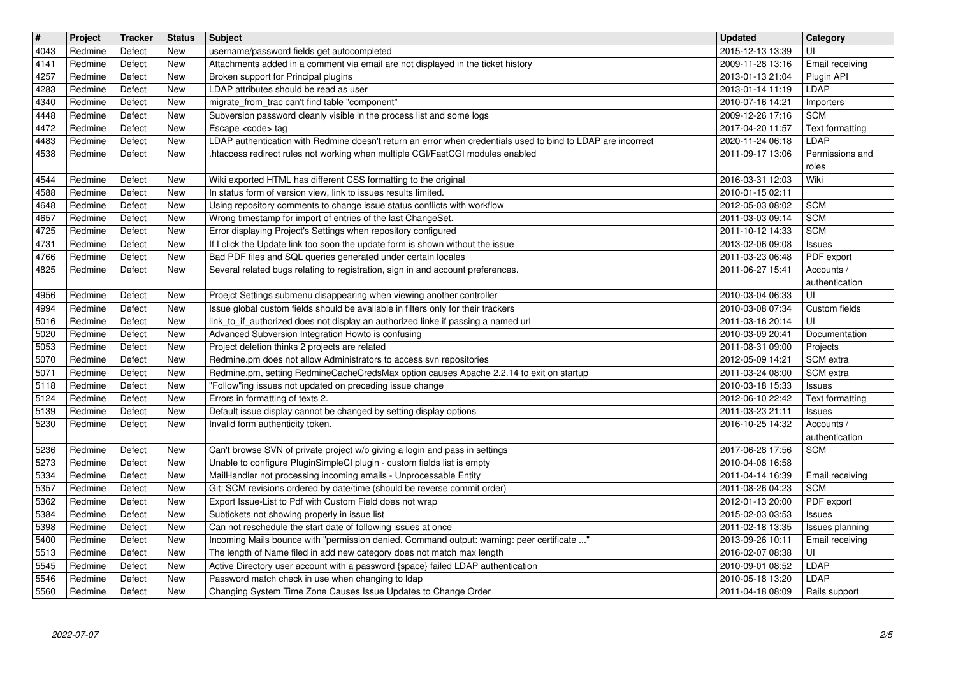| $\overline{\mathbf{H}}$ | Project            | Tracker          | <b>Status</b>            | Subject                                                                                                                                                        | <b>Updated</b>                       | Category                         |
|-------------------------|--------------------|------------------|--------------------------|----------------------------------------------------------------------------------------------------------------------------------------------------------------|--------------------------------------|----------------------------------|
| 4043<br>4141            | Redmine<br>Redmine | Defect<br>Defect | <b>New</b><br>New        | username/password fields get autocompleted<br>Attachments added in a comment via email are not displayed in the ticket history                                 | 2015-12-13 13:39<br>2009-11-28 13:16 | UI<br>Email receiving            |
| 4257                    | Redmine            | Defect           | <b>New</b>               | Broken support for Principal plugins                                                                                                                           | 2013-01-13 21:04                     | Plugin API                       |
| 4283<br>4340            | Redmine<br>Redmine | Defect<br>Defect | New<br><b>New</b>        | LDAP attributes should be read as user<br>migrate_from_trac can't find table "component"                                                                       | 2013-01-14 11:19<br>2010-07-16 14:21 | LDAP<br>Importers                |
| 4448                    | Redmine            | Defect           | <b>New</b>               | Subversion password cleanly visible in the process list and some logs                                                                                          | 2009-12-26 17:16                     | <b>SCM</b>                       |
| 4472<br>4483            | Redmine<br>Redmine | Defect<br>Defect | New<br>New               | Escape <code> tag<br/>LDAP authentication with Redmine doesn't return an error when credentials used to bind to LDAP are incorrect</code>                      | 2017-04-20 11:57<br>2020-11-24 06:18 | Text formatting<br>LDAP          |
| 4538                    | Redmine            | Defect           | New                      | .htaccess redirect rules not working when multiple CGI/FastCGI modules enabled                                                                                 | 2011-09-17 13:06                     | Permissions and                  |
|                         |                    |                  |                          |                                                                                                                                                                |                                      | roles                            |
| 4544<br>4588            | Redmine<br>Redmine | Defect<br>Defect | <b>New</b><br><b>New</b> | Wiki exported HTML has different CSS formatting to the original<br>In status form of version view, link to issues results limited.                             | 2016-03-31 12:03<br>2010-01-15 02:11 | Wiki                             |
| 4648                    | Redmine            | Defect           | <b>New</b>               | Using repository comments to change issue status conflicts with workflow                                                                                       | 2012-05-03 08:02                     | <b>SCM</b>                       |
| 4657                    | Redmine            | Defect           | <b>New</b>               | Wrong timestamp for import of entries of the last ChangeSet.                                                                                                   | 2011-03-03 09:14                     | <b>SCM</b>                       |
| 4725<br>4731            | Redmine<br>Redmine | Defect<br>Defect | <b>New</b><br>New        | Error displaying Project's Settings when repository configured<br>If I click the Update link too soon the update form is shown without the issue               | 2011-10-12 14:33<br>2013-02-06 09:08 | <b>SCM</b><br><b>Issues</b>      |
| 4766                    | Redmine            | Defect           | New                      | Bad PDF files and SQL queries generated under certain locales                                                                                                  | 2011-03-23 06:48                     | PDF export                       |
| 4825                    | Redmine            | Defect           | New                      | Several related bugs relating to registration, sign in and account preferences.                                                                                | 2011-06-27 15:41                     | Accounts /<br>authentication     |
| 4956                    | Redmine            | Defect           | <b>New</b>               | Proejct Settings submenu disappearing when viewing another controller                                                                                          | 2010-03-04 06:33                     | UI                               |
| 4994                    | Redmine            | Defect           | <b>New</b>               | Issue global custom fields should be available in filters only for their trackers                                                                              | 2010-03-08 07:34                     | Custom fields                    |
| 5016<br>5020            | Redmine<br>Redmine | Defect<br>Defect | <b>New</b><br>New        | link_to_if_authorized does not display an authorized linke if passing a named url<br>Advanced Subversion Integration Howto is confusing                        | 2011-03-16 20:14<br>2010-03-09 20:41 | UI<br>Documentation              |
| 5053                    | Redmine            | Defect           | New                      | Project deletion thinks 2 projects are related                                                                                                                 | 2011-08-31 09:00                     | Projects                         |
| 5070<br>5071            | Redmine<br>Redmine | Defect<br>Defect | New<br><b>New</b>        | Redmine.pm does not allow Administrators to access svn repositories<br>Redmine.pm, setting RedmineCacheCredsMax option causes Apache 2.2.14 to exit on startup | 2012-05-09 14:21<br>2011-03-24 08:00 | SCM extra<br>SCM extra           |
| 5118                    | Redmine            | Defect           | New                      | "Follow"ing issues not updated on preceding issue change                                                                                                       | 2010-03-18 15:33                     | <b>Issues</b>                    |
| 5124                    | Redmine            | Defect           | New                      | Errors in formatting of texts 2.                                                                                                                               | 2012-06-10 22:42                     | Text formatting                  |
| 5139<br>5230            | Redmine<br>Redmine | Defect<br>Defect | New<br><b>New</b>        | Default issue display cannot be changed by setting display options<br>Invalid form authenticity token.                                                         | 2011-03-23 21:11<br>2016-10-25 14:32 | <b>Issues</b><br>Accounts /      |
|                         |                    |                  |                          |                                                                                                                                                                |                                      | authentication                   |
| 5236                    | Redmine            | Defect           | New                      | Can't browse SVN of private project w/o giving a login and pass in settings                                                                                    | 2017-06-28 17:56                     | <b>SCM</b>                       |
| 5273<br>5334            | Redmine<br>Redmine | Defect<br>Defect | <b>New</b><br>New        | Unable to configure PluginSimpleCI plugin - custom fields list is empty<br>MailHandler not processing incoming emails - Unprocessable Entity                   | 2010-04-08 16:58<br>2011-04-14 16:39 | Email receiving                  |
| 5357                    | Redmine            | Defect           | <b>New</b>               | Git: SCM revisions ordered by date/time (should be reverse commit order)                                                                                       | 2011-08-26 04:23                     | <b>SCM</b>                       |
| 5362<br>5384            | Redmine<br>Redmine | Defect<br>Defect | New<br>New               | Export Issue-List to Pdf with Custom Field does not wrap                                                                                                       | 2012-01-13 20:00<br>2015-02-03 03:53 | PDF export                       |
| 5398                    | Redmine            | Defect           | New                      | Subtickets not showing properly in issue list<br>Can not reschedule the start date of following issues at once                                                 | 2011-02-18 13:35                     | <b>Issues</b><br>Issues planning |
| 5400                    | Redmine            | Defect           | New                      | Incoming Mails bounce with "permission denied. Command output: warning: peer certificate "                                                                     | 2013-09-26 10:11                     | <b>Email receiving</b>           |
| 5513<br>5545            | Redmine<br>Redmine | Defect<br>Defect | <b>New</b><br>New        | The length of Name filed in add new category does not match max length<br>Active Directory user account with a password {space} failed LDAP authentication     | 2016-02-07 08:38<br>2010-09-01 08:52 | ΙUΙ<br>LDAP                      |
| 5546                    | Redmine            | Defect           | New                      | Password match check in use when changing to Idap                                                                                                              | 2010-05-18 13:20                     | LDAP                             |
|                         |                    |                  |                          |                                                                                                                                                                |                                      |                                  |
|                         |                    |                  |                          |                                                                                                                                                                |                                      |                                  |
|                         |                    |                  |                          |                                                                                                                                                                |                                      |                                  |
|                         |                    |                  |                          |                                                                                                                                                                |                                      |                                  |
|                         |                    |                  |                          |                                                                                                                                                                |                                      |                                  |
|                         |                    |                  |                          |                                                                                                                                                                |                                      |                                  |
|                         |                    |                  |                          |                                                                                                                                                                |                                      |                                  |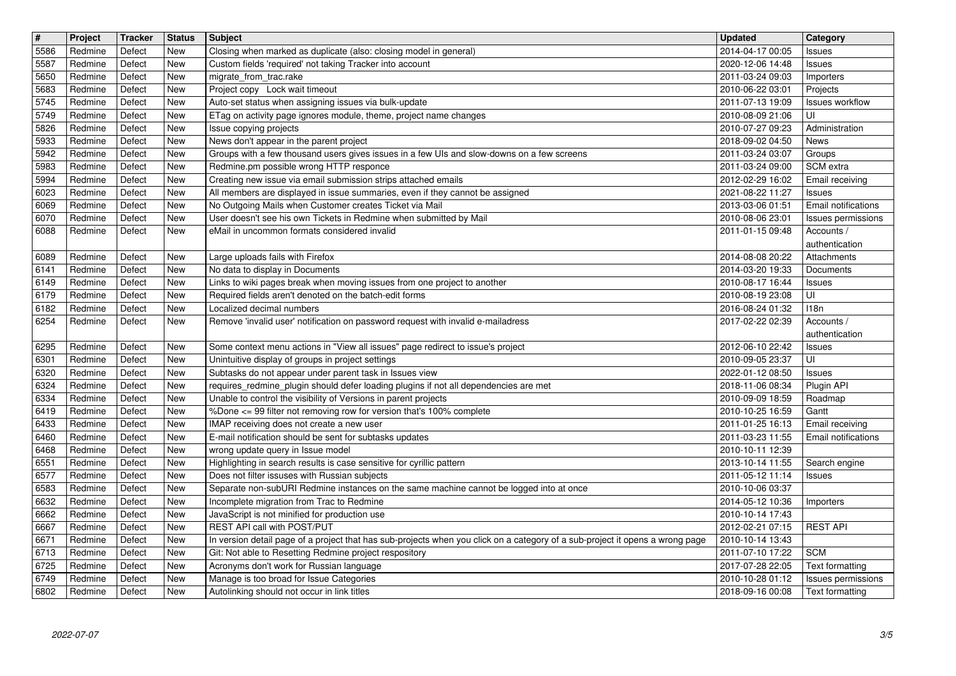| $\overline{\mathbf{H}}$<br>5586 | Project<br>Redmine | Tracker<br>Defect | <b>Status</b><br>New | <b>Subject</b><br>Closing when marked as duplicate (also: closing model in general)                                                      | <b>Updated</b><br>2014-04-17 00:05   | Category                                  |
|---------------------------------|--------------------|-------------------|----------------------|------------------------------------------------------------------------------------------------------------------------------------------|--------------------------------------|-------------------------------------------|
| 5587                            | Redmine            | Defect            | <b>New</b>           | Custom fields 'required' not taking Tracker into account                                                                                 | 2020-12-06 14:48                     | Issues<br>Issues                          |
| 5650                            | Redmine<br>Redmine | Defect<br>Defect  | New<br>New           | migrate_from_trac.rake<br>Project copy Lock wait timeout                                                                                 | 2011-03-24 09:03                     | Importers                                 |
| 5683<br>5745                    | Redmine            | Defect            | New                  | Auto-set status when assigning issues via bulk-update                                                                                    | 2010-06-22 03:01<br>2011-07-13 19:09 | Projects<br><b>Issues workflow</b>        |
| 5749                            | Redmine            | Defect            | New                  | ETag on activity page ignores module, theme, project name changes                                                                        | 2010-08-09 21:06                     | UI                                        |
| 5826<br>5933                    | Redmine<br>Redmine | Defect<br>Defect  | New<br>New           | Issue copying projects<br>News don't appear in the parent project                                                                        | 2010-07-27 09:23<br>2018-09-02 04:50 | Administration<br>News                    |
| 5942                            | Redmine            | Defect            | New                  | Groups with a few thousand users gives issues in a few UIs and slow-downs on a few screens                                               | 2011-03-24 03:07                     | Groups                                    |
| 5983<br>5994                    | Redmine<br>Redmine | Defect<br>Defect  | New<br>New           | Redmine.pm possible wrong HTTP responce<br>Creating new issue via email submission strips attached emails                                | 2011-03-24 09:00<br>2012-02-29 16:02 | SCM extra<br>Email receiving              |
| 6023                            | Redmine            | Defect            | New                  | All members are displayed in issue summaries, even if they cannot be assigned                                                            | 2021-08-22 11:27                     | <b>Issues</b>                             |
| 6069<br>6070                    | Redmine<br>Redmine | Defect<br>Defect  | New<br>New           | No Outgoing Mails when Customer creates Ticket via Mail<br>User doesn't see his own Tickets in Redmine when submitted by Mail            | 2013-03-06 01:51<br>2010-08-06 23:01 | Email notifications<br>Issues permissions |
| 6088                            | Redmine            | Defect            | New                  | eMail in uncommon formats considered invalid                                                                                             | 2011-01-15 09:48                     | Accounts /                                |
| 6089                            | Redmine            | Defect            | New                  | Large uploads fails with Firefox                                                                                                         | 2014-08-08 20:22                     | authentication<br>Attachments             |
| 6141                            | Redmine            | Defect            | New                  | No data to display in Documents                                                                                                          | 2014-03-20 19:33                     | Documents                                 |
| 6149<br>6179                    | Redmine<br>Redmine | Defect<br>Defect  | New<br>New           | Links to wiki pages break when moving issues from one project to another<br>Required fields aren't denoted on the batch-edit forms       | 2010-08-17 16:44<br>2010-08-19 23:08 | <b>Issues</b><br>UI                       |
| 6182                            | Redmine            | Defect            | New                  | Localized decimal numbers                                                                                                                | 2016-08-24 01:32                     | 118n                                      |
| 6254                            | Redmine            | Defect            | New                  | Remove 'invalid user' notification on password request with invalid e-mailadress                                                         | 2017-02-22 02:39                     | Accounts /<br>authentication              |
| 6295                            | Redmine            | Defect            | New                  | Some context menu actions in "View all issues" page redirect to issue's project                                                          | 2012-06-10 22:42<br>2010-09-05 23:37 | <b>Issues</b>                             |
| 6301<br>6320                    | Redmine<br>Redmine | Defect<br>Defect  | <b>New</b><br>New    | Unintuitive display of groups in project settings<br>Subtasks do not appear under parent task in Issues view                             | 2022-01-12 08:50                     | UI<br><b>Issues</b>                       |
| 6324                            | Redmine            | Defect            | New                  | requires_redmine_plugin should defer loading plugins if not all dependencies are met                                                     | 2018-11-06 08:34                     | Plugin API                                |
| 6334<br>6419                    | Redmine<br>Redmine | Defect<br>Defect  | New<br>New           | Unable to control the visibility of Versions in parent projects<br>%Done <= 99 filter not removing row for version that's 100% complete  | 2010-09-09 18:59<br>2010-10-25 16:59 | Roadmap<br>Gantt                          |
| 6433                            | Redmine            | Defect            | New                  | IMAP receiving does not create a new user                                                                                                | 2011-01-25 16:13                     | Email receiving                           |
| 6460<br>6468                    | Redmine<br>Redmine | Defect<br>Defect  | New<br>New           | E-mail notification should be sent for subtasks updates<br>wrong update query in Issue model                                             | 2011-03-23 11:55<br>2010-10-11 12:39 | <b>Email notifications</b>                |
| 6551                            | Redmine            | Defect            | New                  | Highlighting in search results is case sensitive for cyrillic pattern                                                                    | 2013-10-14 11:55                     | Search engine                             |
| 6577<br>6583                    | Redmine<br>Redmine | Defect<br>Defect  | <b>New</b><br>New    | Does not filter issuses with Russian subjects<br>Separate non-subURI Redmine instances on the same machine cannot be logged into at once | 2011-05-12 11:14<br>2010-10-06 03:37 | <b>Issues</b>                             |
| 6632                            | Redmine            | Defect            | New                  | Incomplete migration from Trac to Redmine                                                                                                | 2014-05-12 10:36                     | Importers                                 |
| 6662<br>6667                    | Redmine<br>Redmine | Defect<br>Defect  | New<br>New           | JavaScript is not minified for production use<br>REST API call with POST/PUT                                                             | 2010-10-14 17:43<br>2012-02-21 07:15 | <b>REST API</b>                           |
| 6671                            | Redmine            | Defect            | New                  | In version detail page of a project that has sub-projects when you click on a category of a sub-project it opens a wrong page            | 2010-10-14 13:43                     |                                           |
| 6713<br>6725                    | Redmine<br>Redmine | Defect<br>Defect  | <b>New</b><br>New    | Git: Not able to Resetting Redmine project respository<br>Acronyms don't work for Russian language                                       | 2011-07-10 17:22<br>2017-07-28 22:05 | <b>SCM</b><br>Text formatting             |
| 6749<br>6802                    | Redmine<br>Redmine | Defect<br>Defect  | <b>New</b><br>New    | Manage is too broad for Issue Categories<br>Autolinking should not occur in link titles                                                  | 2010-10-28 01:12<br>2018-09-16 00:08 | Issues permissions<br>Text formatting     |
|                                 |                    |                   |                      |                                                                                                                                          |                                      |                                           |
|                                 |                    |                   |                      |                                                                                                                                          |                                      |                                           |
|                                 |                    |                   |                      |                                                                                                                                          |                                      |                                           |
|                                 |                    |                   |                      |                                                                                                                                          |                                      |                                           |
|                                 |                    |                   |                      |                                                                                                                                          |                                      |                                           |
|                                 |                    |                   |                      |                                                                                                                                          |                                      |                                           |
|                                 |                    |                   |                      |                                                                                                                                          |                                      |                                           |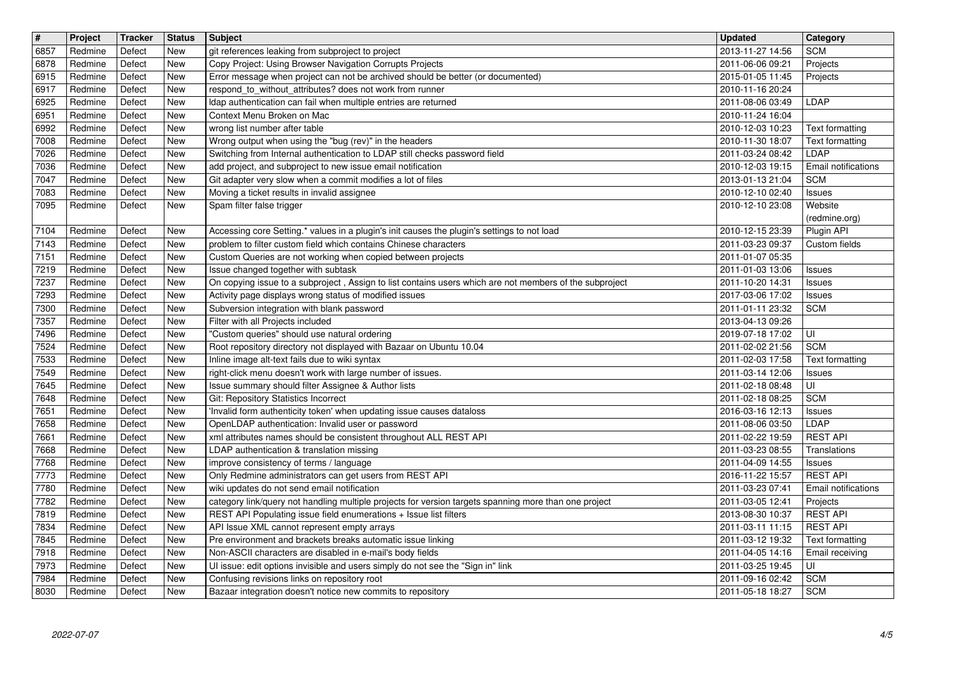| $\overline{\mathbf{H}}$ | Project            | Tracker          | <b>Status</b>            | <b>Subject</b>                                                                                                                                                             | <b>Updated</b>                       | <b>Category</b>                    |
|-------------------------|--------------------|------------------|--------------------------|----------------------------------------------------------------------------------------------------------------------------------------------------------------------------|--------------------------------------|------------------------------------|
| 6857<br>6878            | Redmine<br>Redmine | Defect<br>Defect | New<br><b>New</b>        | git references leaking from subproject to project<br>Copy Project: Using Browser Navigation Corrupts Projects                                                              | 2013-11-27 14:56<br>2011-06-06 09:21 | <b>SCM</b><br>Projects             |
| 6915                    | Redmine<br>Redmine | Defect<br>Defect | New<br>New               | Error message when project can not be archived should be better (or documented)<br>respond_to_without_attributes? does not work from runner                                | 2015-01-05 11:45<br>2010-11-16 20:24 | Projects                           |
| 6917<br>6925            | Redmine            | Defect           | New                      | Idap authentication can fail when multiple entries are returned                                                                                                            | 2011-08-06 03:49                     | <b>LDAP</b>                        |
| 6951<br>6992            | Redmine<br>Redmine | Defect<br>Defect | <b>New</b><br><b>New</b> | Context Menu Broken on Mac<br>wrong list number after table                                                                                                                | 2010-11-24 16:04<br>2010-12-03 10:23 | Text formatting                    |
| 7008                    | Redmine            | Defect           | New                      | Wrong output when using the "bug (rev)" in the headers                                                                                                                     | 2010-11-30 18:07                     | Text formatting                    |
| 7026<br>7036            | Redmine<br>Redmine | Defect<br>Defect | New<br>New               | Switching from Internal authentication to LDAP still checks password field<br>add project, and subproject to new issue email notification                                  | 2011-03-24 08:42<br>2010-12-03 19:15 | LDAP<br>Email notifications        |
| 7047                    | Redmine            | Defect           | <b>New</b>               | Git adapter very slow when a commit modifies a lot of files                                                                                                                | 2013-01-13 21:04                     | <b>SCM</b>                         |
| 7083<br>7095            | Redmine<br>Redmine | Defect<br>Defect | New<br>New               | Moving a ticket results in invalid assignee<br>Spam filter false trigger                                                                                                   | 2010-12-10 02:40<br>2010-12-10 23:08 | Issues<br>Website                  |
|                         |                    |                  |                          |                                                                                                                                                                            |                                      | (redmine.org)                      |
| 7104<br>7143            | Redmine<br>Redmine | Defect<br>Defect | New<br><b>New</b>        | Accessing core Setting.* values in a plugin's init causes the plugin's settings to not load<br>problem to filter custom field which contains Chinese characters            | 2010-12-15 23:39<br>2011-03-23 09:37 | Plugin API<br>Custom fields        |
| 7151                    | Redmine            | Defect           | New                      | Custom Queries are not working when copied between projects                                                                                                                | 2011-01-07 05:35                     |                                    |
| 7219<br>7237            | Redmine<br>Redmine | Defect<br>Defect | New<br>New               | Issue changed together with subtask<br>On copying issue to a subproject, Assign to list contains users which are not members of the subproject                             | 2011-01-03 13:06<br>2011-10-20 14:31 | Issues<br><b>Issues</b>            |
| 7293                    | Redmine            | Defect           | New                      | Activity page displays wrong status of modified issues                                                                                                                     | 2017-03-06 17:02                     | <b>Issues</b>                      |
| 7300<br>7357            | Redmine<br>Redmine | Defect<br>Defect | New<br><b>New</b>        | Subversion integration with blank password<br>Filter with all Projects included                                                                                            | 2011-01-11 23:32<br>2013-04-13 09:26 | <b>SCM</b>                         |
| 7496                    | Redmine            | Defect           | New                      | "Custom queries" should use natural ordering                                                                                                                               | 2019-07-18 17:02                     | ΙUΙ                                |
| 7524<br>7533            | Redmine<br>Redmine | Defect<br>Defect | New<br><b>New</b>        | Root repository directory not displayed with Bazaar on Ubuntu 10.04<br>Inline image alt-text fails due to wiki syntax                                                      | 2011-02-02 21:56<br>2011-02-03 17:58 | <b>SCM</b><br>Text formatting      |
| 7549                    | Redmine            | Defect           | New                      | right-click menu doesn't work with large number of issues.                                                                                                                 | 2011-03-14 12:06                     | <b>Issues</b>                      |
| 7645<br>7648            | Redmine<br>Redmine | Defect<br>Defect | New<br>New               | Issue summary should filter Assignee & Author lists<br>Git: Repository Statistics Incorrect                                                                                | 2011-02-18 08:48<br>2011-02-18 08:25 | UI<br><b>SCM</b>                   |
| 7651                    | Redmine            | Defect           | New                      | Invalid form authenticity token' when updating issue causes dataloss                                                                                                       | 2016-03-16 12:13                     | <b>Issues</b>                      |
| 7658<br>7661            | Redmine<br>Redmine | Defect<br>Defect | <b>New</b><br>New        | OpenLDAP authentication: Invalid user or password<br>xml attributes names should be consistent throughout ALL REST API                                                     | 2011-08-06 03:50<br>2011-02-22 19:59 | LDAP<br><b>REST API</b>            |
| 7668                    | Redmine            | Defect           | New                      | LDAP authentication & translation missing                                                                                                                                  | 2011-03-23 08:55                     | Translations                       |
| 7768<br>7773            | Redmine<br>Redmine | Defect<br>Defect | New<br>New               | improve consistency of terms / language<br>Only Redmine administrators can get users from REST API                                                                         | 2011-04-09 14:55<br>2016-11-22 15:57 | <b>Issues</b><br><b>REST API</b>   |
| 7780                    | Redmine            | Defect           | New                      | wiki updates do not send email notification                                                                                                                                | 2011-03-23 07:41                     | Email notifications                |
| 7782<br>7819            | Redmine<br>Redmine | Defect<br>Defect | <b>New</b><br><b>New</b> | category link/query not handling multiple projects for version targets spanning more than one project<br>REST API Populating issue field enumerations + Issue list filters | 2011-03-05 12:41<br>2013-08-30 10:37 | Projects<br><b>REST API</b>        |
| 7834                    | Redmine            | Defect           | New                      | API Issue XML cannot represent empty arrays                                                                                                                                | 2011-03-11 11:15                     | <b>REST API</b>                    |
| 7845<br>7918            | Redmine<br>Redmine | Defect<br>Defect | New<br><b>New</b>        | Pre environment and brackets breaks automatic issue linking<br>Non-ASCII characters are disabled in e-mail's body fields                                                   | 2011-03-12 19:32<br>2011-04-05 14:16 | Text formatting<br>Email receiving |
| 7973                    | Redmine            | Defect           | New                      | UI issue: edit options invisible and users simply do not see the "Sign in" link                                                                                            | 2011-03-25 19:45                     | ΙUΙ                                |
| 7984<br>8030            | Redmine<br>Redmine | Defect<br>Defect | New<br>New               | Confusing revisions links on repository root<br>Bazaar integration doesn't notice new commits to repository                                                                | 2011-09-16 02:42<br>2011-05-18 18:27 | <b>SCM</b><br><b>SCM</b>           |
|                         |                    |                  |                          |                                                                                                                                                                            |                                      |                                    |
|                         |                    |                  |                          |                                                                                                                                                                            |                                      |                                    |
|                         |                    |                  |                          |                                                                                                                                                                            |                                      |                                    |
|                         |                    |                  |                          |                                                                                                                                                                            |                                      |                                    |